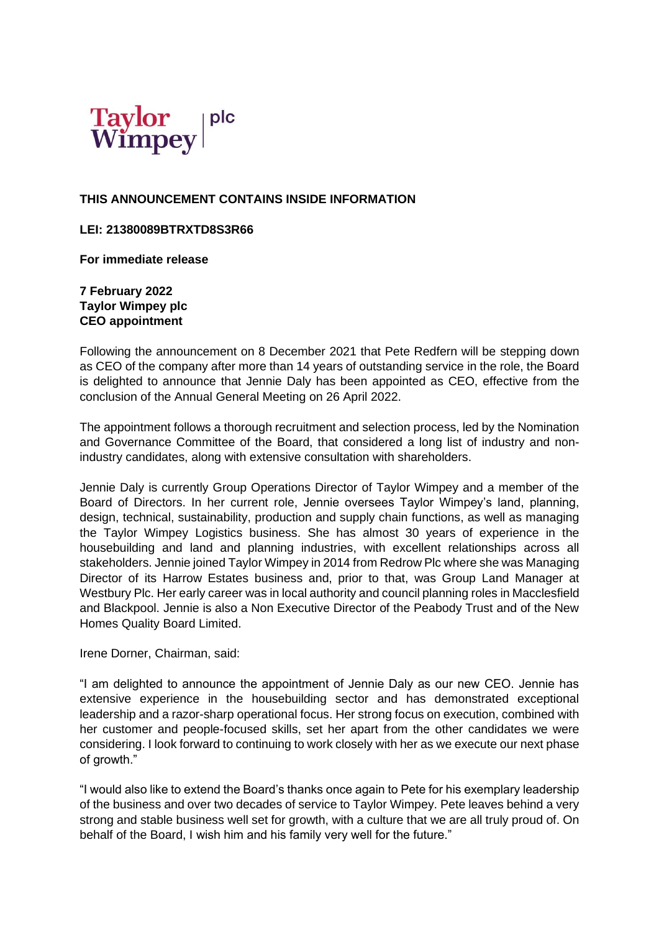

# **THIS ANNOUNCEMENT CONTAINS INSIDE INFORMATION**

### **LEI: 21380089BTRXTD8S3R66**

**For immediate release**

**7 February 2022 Taylor Wimpey plc CEO appointment**

Following the announcement on 8 December 2021 that Pete Redfern will be stepping down as CEO of the company after more than 14 years of outstanding service in the role, the Board is delighted to announce that Jennie Daly has been appointed as CEO, effective from the conclusion of the Annual General Meeting on 26 April 2022.

The appointment follows a thorough recruitment and selection process, led by the Nomination and Governance Committee of the Board, that considered a long list of industry and nonindustry candidates, along with extensive consultation with shareholders.

Jennie Daly is currently Group Operations Director of Taylor Wimpey and a member of the Board of Directors. In her current role, Jennie oversees Taylor Wimpey's land, planning, design, technical, sustainability, production and supply chain functions, as well as managing the Taylor Wimpey Logistics business. She has almost 30 years of experience in the housebuilding and land and planning industries, with excellent relationships across all stakeholders. Jennie joined Taylor Wimpey in 2014 from Redrow Plc where she was Managing Director of its Harrow Estates business and, prior to that, was Group Land Manager at Westbury Plc. Her early career was in local authority and council planning roles in Macclesfield and Blackpool. Jennie is also a Non Executive Director of the Peabody Trust and of the New Homes Quality Board Limited.

Irene Dorner, Chairman, said:

"I am delighted to announce the appointment of Jennie Daly as our new CEO. Jennie has extensive experience in the housebuilding sector and has demonstrated exceptional leadership and a razor-sharp operational focus. Her strong focus on execution, combined with her customer and people-focused skills, set her apart from the other candidates we were considering. I look forward to continuing to work closely with her as we execute our next phase of growth."

"I would also like to extend the Board's thanks once again to Pete for his exemplary leadership of the business and over two decades of service to Taylor Wimpey. Pete leaves behind a very strong and stable business well set for growth, with a culture that we are all truly proud of. On behalf of the Board, I wish him and his family very well for the future."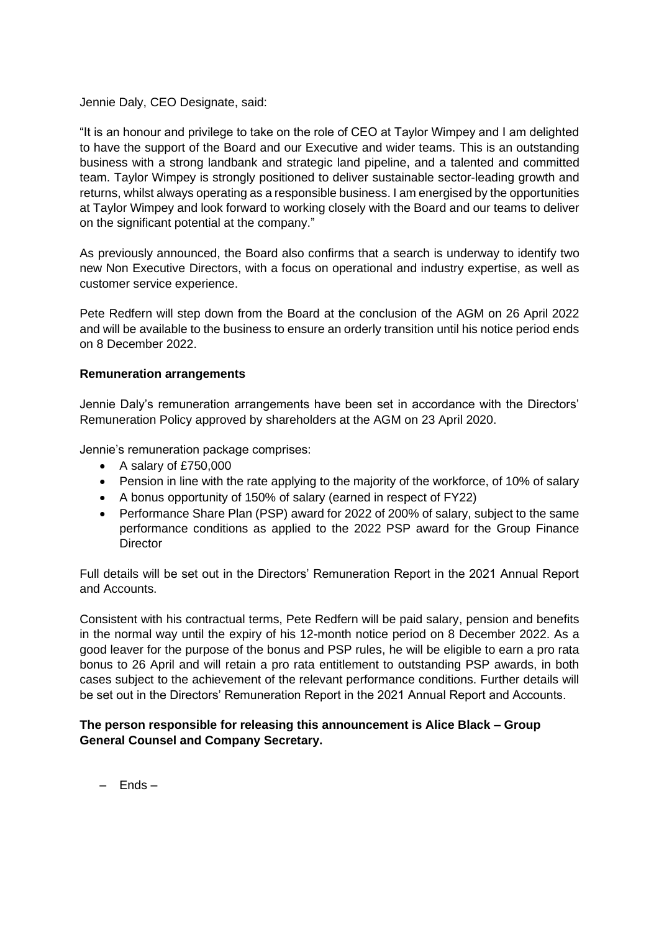Jennie Daly, CEO Designate, said:

"It is an honour and privilege to take on the role of CEO at Taylor Wimpey and I am delighted to have the support of the Board and our Executive and wider teams. This is an outstanding business with a strong landbank and strategic land pipeline, and a talented and committed team. Taylor Wimpey is strongly positioned to deliver sustainable sector-leading growth and returns, whilst always operating as a responsible business. I am energised by the opportunities at Taylor Wimpey and look forward to working closely with the Board and our teams to deliver on the significant potential at the company."

As previously announced, the Board also confirms that a search is underway to identify two new Non Executive Directors, with a focus on operational and industry expertise, as well as customer service experience.

Pete Redfern will step down from the Board at the conclusion of the AGM on 26 April 2022 and will be available to the business to ensure an orderly transition until his notice period ends on 8 December 2022.

### **Remuneration arrangements**

Jennie Daly's remuneration arrangements have been set in accordance with the Directors' Remuneration Policy approved by shareholders at the AGM on 23 April 2020.

Jennie's remuneration package comprises:

- A salary of £750,000
- Pension in line with the rate applying to the majority of the workforce, of 10% of salary
- A bonus opportunity of 150% of salary (earned in respect of FY22)
- Performance Share Plan (PSP) award for 2022 of 200% of salary, subject to the same performance conditions as applied to the 2022 PSP award for the Group Finance **Director**

Full details will be set out in the Directors' Remuneration Report in the 2021 Annual Report and Accounts.

Consistent with his contractual terms, Pete Redfern will be paid salary, pension and benefits in the normal way until the expiry of his 12-month notice period on 8 December 2022. As a good leaver for the purpose of the bonus and PSP rules, he will be eligible to earn a pro rata bonus to 26 April and will retain a pro rata entitlement to outstanding PSP awards, in both cases subject to the achievement of the relevant performance conditions. Further details will be set out in the Directors' Remuneration Report in the 2021 Annual Report and Accounts.

## **The person responsible for releasing this announcement is Alice Black – Group General Counsel and Company Secretary.**

– Ends –